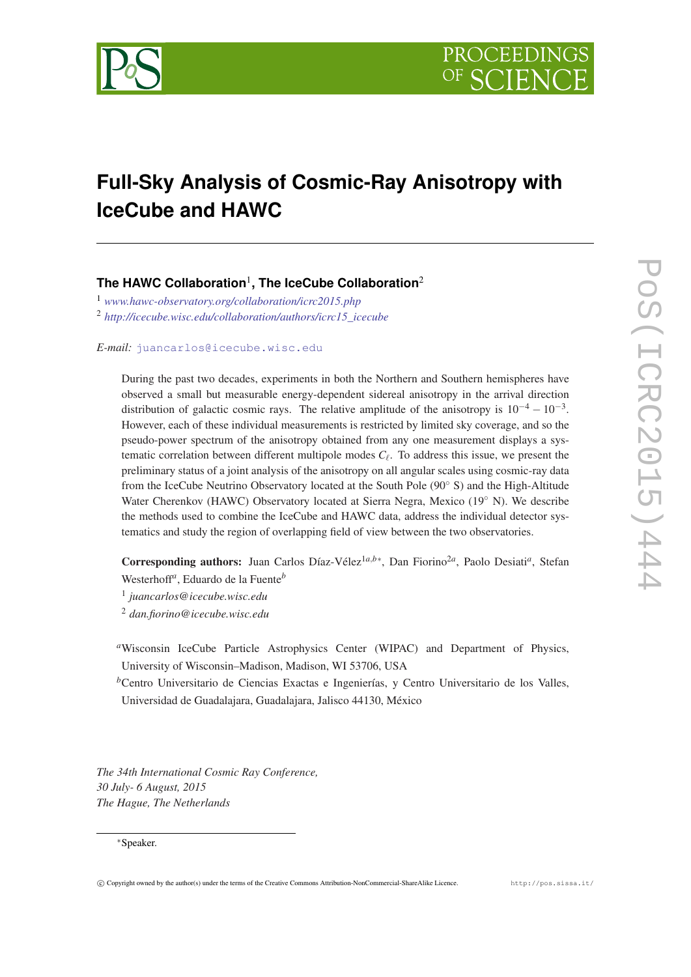

# **Full-Sky Analysis of Cosmic-Ray Anisotropy with IceCube and HAWC**

## **The HAWC Collaboration**<sup>1</sup> **, The IceCube Collaboration**<sup>2</sup>

<sup>1</sup> *[www.hawc-observatory.org/collaboration/icrc2015.php](http://www.hawc-observatory.org/collaboration/icrc2015.php)* <sup>2</sup> *[http://icecube.wisc.edu/collaboration/authors/icrc15\\_icecube](http://icecube.wisc.edu/collaboration/authors/icrc15protect T1	extunderscore icecube)*

*E-mail:* [juancarlos@icecube.wisc.edu](mailto:juancarlos@icecube.wisc.edu)

During the past two decades, experiments in both the Northern and Southern hemispheres have observed a small but measurable energy-dependent sidereal anisotropy in the arrival direction distribution of galactic cosmic rays. The relative amplitude of the anisotropy is  $10^{-4} - 10^{-3}$ . However, each of these individual measurements is restricted by limited sky coverage, and so the pseudo-power spectrum of the anisotropy obtained from any one measurement displays a systematic correlation between different multipole modes  $C_{\ell}$ . To address this issue, we present the preliminary status of a joint analysis of the anisotropy on all angular scales using cosmic-ray data from the IceCube Neutrino Observatory located at the South Pole (90◦ S) and the High-Altitude Water Cherenkov (HAWC) Observatory located at Sierra Negra, Mexico (19◦ N). We describe the methods used to combine the IceCube and HAWC data, address the individual detector systematics and study the region of overlapping field of view between the two observatories.

Corresponding authors: Juan Carlos Díaz-Vélez<sup>1a,b∗</sup>, Dan Fiorino<sup>2a</sup>, Paolo Desiati<sup>a</sup>, Stefan Westerhoff*<sup>a</sup>* , Eduardo de la Fuente*<sup>b</sup>*

1 *juancarlos@icecube.wisc.edu*

<sup>2</sup> *dan.fiorino@icecube.wisc.edu*

*<sup>a</sup>*Wisconsin IceCube Particle Astrophysics Center (WIPAC) and Department of Physics, University of Wisconsin–Madison, Madison, WI 53706, USA

*<sup>b</sup>*Centro Universitario de Ciencias Exactas e Ingenierías, y Centro Universitario de los Valles, Universidad de Guadalajara, Guadalajara, Jalisco 44130, México

*The 34th International Cosmic Ray Conference, 30 July- 6 August, 2015 The Hague, The Netherlands*

#### <sup>∗</sup>Speaker.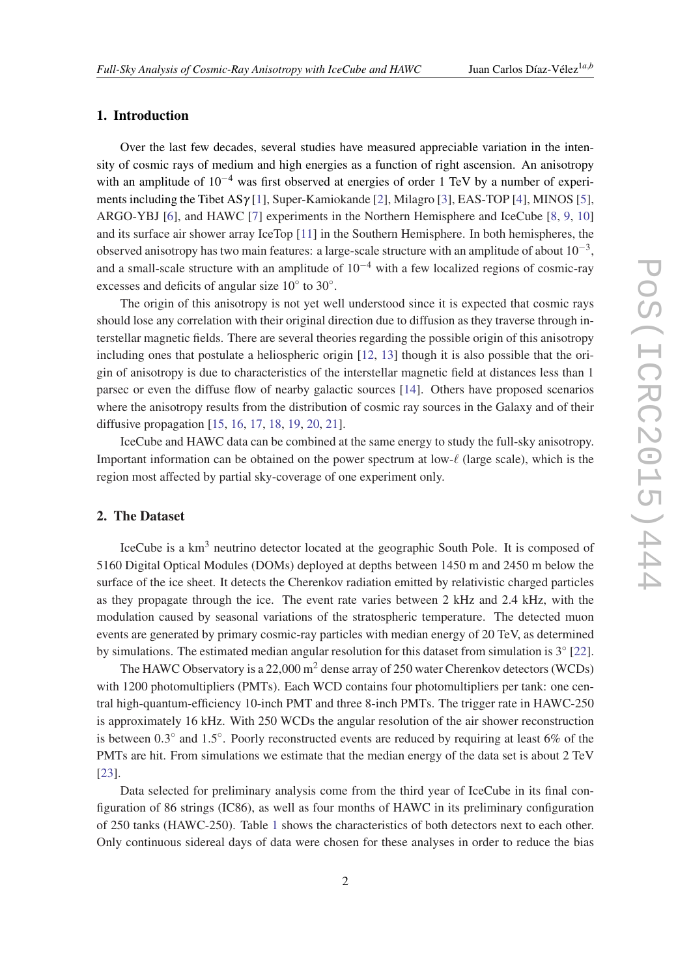#### 1. Introduction

Over the last few decades, several studies have measured appreciable variation in the intensity of cosmic rays of medium and high energies as a function of right ascension. An anisotropy with an amplitude of  $10^{-4}$  was first observed at energies of order 1 TeV by a number of experiments including the Tibet ASγ [[1](#page-6-0)], Super-Kamiokande [\[2\]](#page-6-0), Milagro [\[3\]](#page-6-0), EAS-TOP [[4](#page-6-0)], MINOS [\[5\]](#page-6-0), ARGO-YBJ [\[6\]](#page-6-0), and HAWC [\[7\]](#page-6-0) experiments in the Northern Hemisphere and IceCube [[8](#page-7-0), [9](#page-7-0), [10](#page-7-0)] and its surface air shower array IceTop [[11\]](#page-7-0) in the Southern Hemisphere. In both hemispheres, the observed anisotropy has two main features: a large-scale structure with an amplitude of about  $10^{-3}$ , and a small-scale structure with an amplitude of  $10^{-4}$  with a few localized regions of cosmic-ray excesses and deficits of angular size  $10^{\circ}$  to  $30^{\circ}$ .

The origin of this anisotropy is not yet well understood since it is expected that cosmic rays should lose any correlation with their original direction due to diffusion as they traverse through interstellar magnetic fields. There are several theories regarding the possible origin of this anisotropy including ones that postulate a heliospheric origin [\[12](#page-7-0), [13](#page-7-0)] though it is also possible that the origin of anisotropy is due to characteristics of the interstellar magnetic field at distances less than 1 parsec or even the diffuse flow of nearby galactic sources [[14\]](#page-7-0). Others have proposed scenarios where the anisotropy results from the distribution of cosmic ray sources in the Galaxy and of their diffusive propagation [[15](#page-7-0), [16,](#page-7-0) [17](#page-7-0), [18,](#page-7-0) [19,](#page-7-0) [20](#page-7-0), [21\]](#page-7-0).

IceCube and HAWC data can be combined at the same energy to study the full-sky anisotropy. Important information can be obtained on the power spectrum at low- $\ell$  (large scale), which is the region most affected by partial sky-coverage of one experiment only.

### 2. The Dataset

IceCube is a km<sup>3</sup> neutrino detector located at the geographic South Pole. It is composed of 5160 Digital Optical Modules (DOMs) deployed at depths between 1450 m and 2450 m below the surface of the ice sheet. It detects the Cherenkov radiation emitted by relativistic charged particles as they propagate through the ice. The event rate varies between 2 kHz and 2.4 kHz, with the modulation caused by seasonal variations of the stratospheric temperature. The detected muon events are generated by primary cosmic-ray particles with median energy of 20 TeV, as determined by simulations. The estimated median angular resolution for this dataset from simulation is  $3°$  [[22\]](#page-7-0).

The HAWC Observatory is a 22,000  $m<sup>2</sup>$  dense array of 250 water Cherenkov detectors (WCDs) with 1200 photomultipliers (PMTs). Each WCD contains four photomultipliers per tank: one central high-quantum-efficiency 10-inch PMT and three 8-inch PMTs. The trigger rate in HAWC-250 is approximately 16 kHz. With 250 WCDs the angular resolution of the air shower reconstruction is between  $0.3^{\circ}$  and  $1.5^{\circ}$ . Poorly reconstructed events are reduced by requiring at least 6% of the PMTs are hit. From simulations we estimate that the median energy of the data set is about 2 TeV [[23\]](#page-7-0).

Data selected for preliminary analysis come from the third year of IceCube in its final configuration of 86 strings (IC86), as well as four months of HAWC in its preliminary configuration of 250 tanks (HAWC-250). Table [1](#page-2-0) shows the characteristics of both detectors next to each other. Only continuous sidereal days of data were chosen for these analyses in order to reduce the bias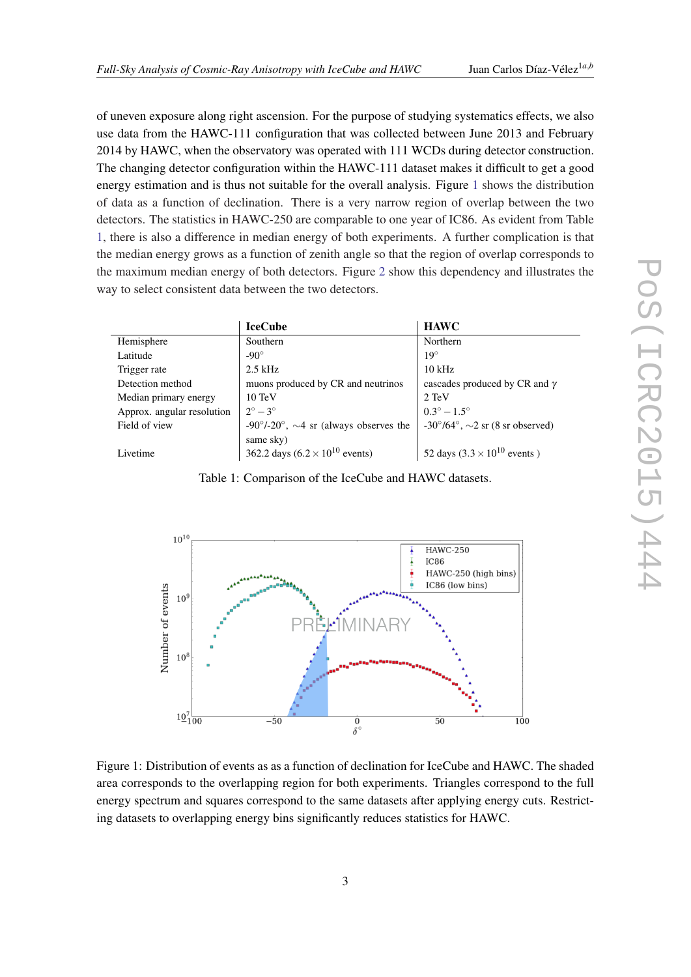<span id="page-2-0"></span>of uneven exposure along right ascension. For the purpose of studying systematics effects, we also use data from the HAWC-111 configuration that was collected between June 2013 and February 2014 by HAWC, when the observatory was operated with 111 WCDs during detector construction. The changing detector configuration within the HAWC-111 dataset makes it difficult to get a good energy estimation and is thus not suitable for the overall analysis. Figure 1 shows the distribution of data as a function of declination. There is a very narrow region of overlap between the two detectors. The statistics in HAWC-250 are comparable to one year of IC86. As evident from Table 1, there is also a difference in median energy of both experiments. A further complication is that the median energy grows as a function of zenith angle so that the region of overlap corresponds to the maximum median energy of both detectors. Figure [2](#page-3-0) show this dependency and illustrates the way to select consistent data between the two detectors.

|                            | <b>IceCube</b>                                               | <b>HAWC</b>                                            |
|----------------------------|--------------------------------------------------------------|--------------------------------------------------------|
| Hemisphere                 | Southern                                                     | Northern                                               |
| Latitude                   | $-90^\circ$                                                  | $19^\circ$                                             |
| Trigger rate               | $2.5$ kHz                                                    | $10$ kHz                                               |
| Detection method           | muons produced by CR and neutrinos                           | cascades produced by CR and $\gamma$                   |
| Median primary energy      | $10 \text{ TeV}$                                             | 2 TeV                                                  |
| Approx. angular resolution | $2^{\circ} - 3^{\circ}$                                      | $0.3^{\circ} - 1.5^{\circ}$                            |
| Field of view              | $-90^{\circ}/-20^{\circ}$ , $\sim$ 4 sr (always observes the | $-30^{\circ}/64^{\circ}$ , $\sim$ 2 sr (8 sr observed) |
|                            | same sky)                                                    |                                                        |
| Livetime                   | 362.2 days $(6.2 \times 10^{10} \text{ events})$             | 52 days $(3.3 \times 10^{10} \text{ events})$          |

Table 1: Comparison of the IceCube and HAWC datasets.



Figure 1: Distribution of events as as a function of declination for IceCube and HAWC. The shaded area corresponds to the overlapping region for both experiments. Triangles correspond to the full energy spectrum and squares correspond to the same datasets after applying energy cuts. Restricting datasets to overlapping energy bins significantly reduces statistics for HAWC.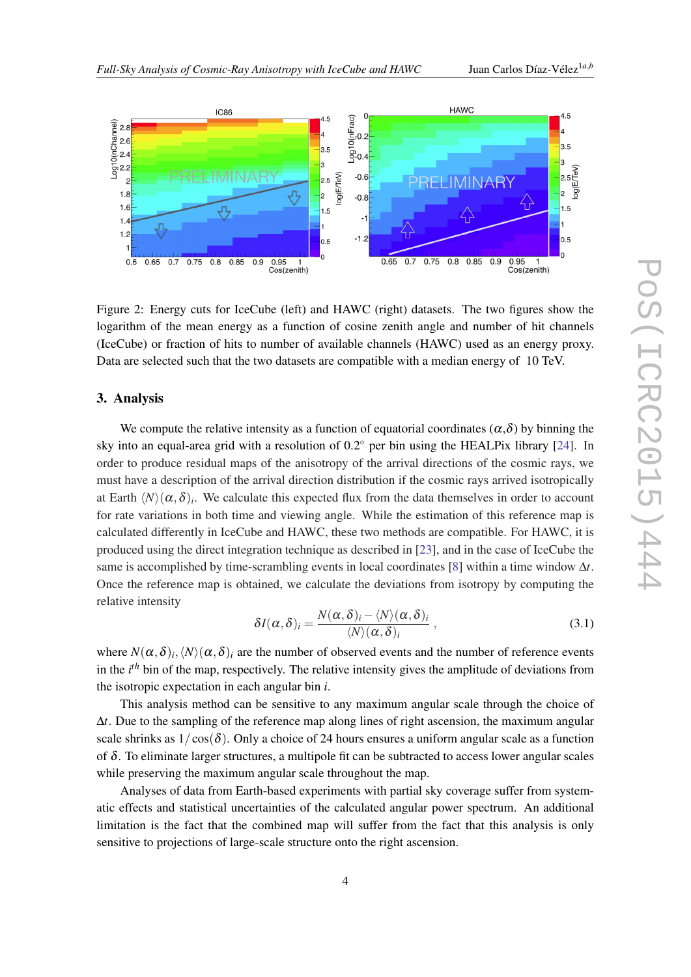<span id="page-3-0"></span>

Figure 2: Energy cuts for IceCube (left) and HAWC (right) datasets. The two figures show the logarithm of the mean energy as a function of cosine zenith angle and number of hit channels (IceCube) or fraction of hits to number of available channels (HAWC) used as an energy proxy. Data are selected such that the two datasets are compatible with a median energy of 10 TeV.

#### 3. Analysis

We compute the relative intensity as a function of equatorial coordinates ( $\alpha$ , $\delta$ ) by binning the sky into an equal-area grid with a resolution of  $0.2°$  per bin using the HEALPix library [\[24\]](#page-7-0). In order to produce residual maps of the anisotropy of the arrival directions of the cosmic rays, we must have a description of the arrival direction distribution if the cosmic rays arrived isotropically at Earth  $\langle N \rangle (\alpha, \delta)_i$ . We calculate this expected flux from the data themselves in order to account for rate variations in both time and viewing angle. While the estimation of this reference map is calculated differently in IceCube and HAWC, these two methods are compatible. For HAWC, it is produced using the direct integration technique as described in [\[23](#page-7-0)], and in the case of IceCube the same is accomplished by time-scrambling events in local coordinates [[8](#page-7-0)] within a time window ∆*t*. Once the reference map is obtained, we calculate the deviations from isotropy by computing the relative intensity

$$
\delta I(\alpha,\delta)_i = \frac{N(\alpha,\delta)_i - \langle N \rangle(\alpha,\delta)_i}{\langle N \rangle(\alpha,\delta)_i},\tag{3.1}
$$

where  $N(\alpha,\delta)_i, \langle N\rangle(\alpha,\delta)_i$  are the number of observed events and the number of reference events in the *i th* bin of the map, respectively. The relative intensity gives the amplitude of deviations from the isotropic expectation in each angular bin *i*.

This analysis method can be sensitive to any maximum angular scale through the choice of ∆*t*. Due to the sampling of the reference map along lines of right ascension, the maximum angular scale shrinks as  $1/\cos(\delta)$ . Only a choice of 24 hours ensures a uniform angular scale as a function of  $\delta$ . To eliminate larger structures, a multipole fit can be subtracted to access lower angular scales while preserving the maximum angular scale throughout the map.

Analyses of data from Earth-based experiments with partial sky coverage suffer from systematic effects and statistical uncertainties of the calculated angular power spectrum. An additional limitation is the fact that the combined map will suffer from the fact that this analysis is only sensitive to projections of large-scale structure onto the right ascension.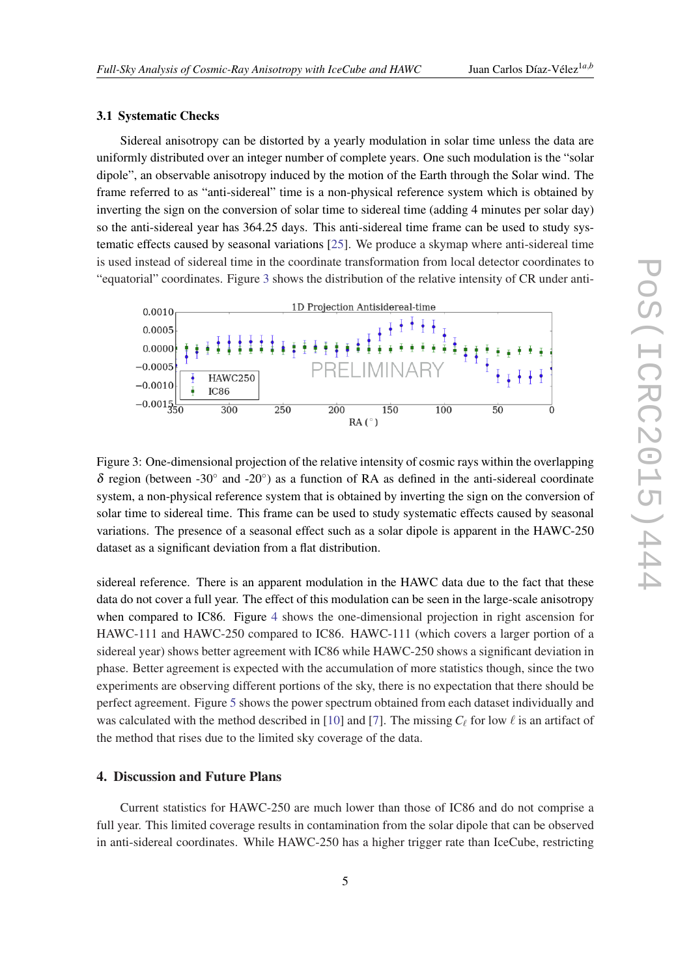#### 3.1 Systematic Checks

Sidereal anisotropy can be distorted by a yearly modulation in solar time unless the data are uniformly distributed over an integer number of complete years. One such modulation is the "solar dipole", an observable anisotropy induced by the motion of the Earth through the Solar wind. The frame referred to as "anti-sidereal" time is a non-physical reference system which is obtained by inverting the sign on the conversion of solar time to sidereal time (adding 4 minutes per solar day) so the anti-sidereal year has 364.25 days. This anti-sidereal time frame can be used to study systematic effects caused by seasonal variations [[25](#page-7-0)]. We produce a skymap where anti-sidereal time is used instead of sidereal time in the coordinate transformation from local detector coordinates to "equatorial" coordinates. Figure 3 shows the distribution of the relative intensity of CR under anti-



Figure 3: One-dimensional projection of the relative intensity of cosmic rays within the overlapping  $\delta$  region (between -30° and -20°) as a function of RA as defined in the anti-sidereal coordinate system, a non-physical reference system that is obtained by inverting the sign on the conversion of solar time to sidereal time. This frame can be used to study systematic effects caused by seasonal variations. The presence of a seasonal effect such as a solar dipole is apparent in the HAWC-250 dataset as a significant deviation from a flat distribution.

sidereal reference. There is an apparent modulation in the HAWC data due to the fact that these data do not cover a full year. The effect of this modulation can be seen in the large-scale anisotropy when compared to IC86. Figure [4](#page-5-0) shows the one-dimensional projection in right ascension for HAWC-111 and HAWC-250 compared to IC86. HAWC-111 (which covers a larger portion of a sidereal year) shows better agreement with IC86 while HAWC-250 shows a significant deviation in phase. Better agreement is expected with the accumulation of more statistics though, since the two experiments are observing different portions of the sky, there is no expectation that there should be perfect agreement. Figure [5](#page-6-0) shows the power spectrum obtained from each dataset individually and was calculated with the method described in [\[10](#page-7-0)] and [\[7\]](#page-6-0). The missing  $C_\ell$  for low  $\ell$  is an artifact of the method that rises due to the limited sky coverage of the data.

#### 4. Discussion and Future Plans

Current statistics for HAWC-250 are much lower than those of IC86 and do not comprise a full year. This limited coverage results in contamination from the solar dipole that can be observed in anti-sidereal coordinates. While HAWC-250 has a higher trigger rate than IceCube, restricting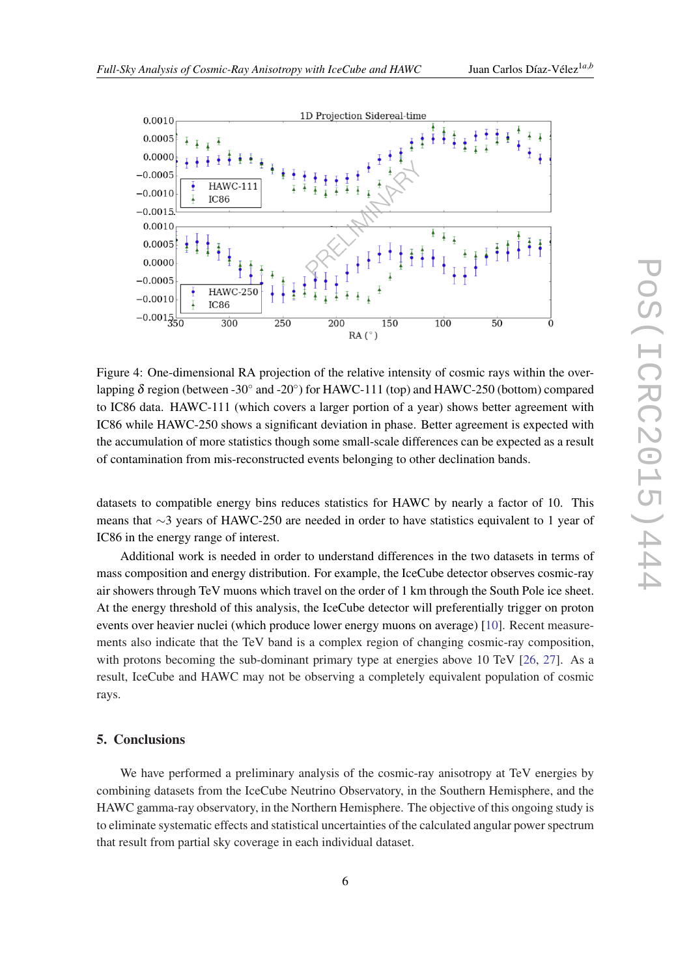<span id="page-5-0"></span>

Figure 4: One-dimensional RA projection of the relative intensity of cosmic rays within the overlapping  $\delta$  region (between -30 $\degree$  and -20 $\degree$ ) for HAWC-111 (top) and HAWC-250 (bottom) compared to IC86 data. HAWC-111 (which covers a larger portion of a year) shows better agreement with IC86 while HAWC-250 shows a significant deviation in phase. Better agreement is expected with the accumulation of more statistics though some small-scale differences can be expected as a result of contamination from mis-reconstructed events belonging to other declination bands.

datasets to compatible energy bins reduces statistics for HAWC by nearly a factor of 10. This means that ∼3 years of HAWC-250 are needed in order to have statistics equivalent to 1 year of IC86 in the energy range of interest.

Additional work is needed in order to understand differences in the two datasets in terms of mass composition and energy distribution. For example, the IceCube detector observes cosmic-ray air showers through TeV muons which travel on the order of 1 km through the South Pole ice sheet. At the energy threshold of this analysis, the IceCube detector will preferentially trigger on proton events over heavier nuclei (which produce lower energy muons on average) [\[10](#page-7-0)]. Recent measurements also indicate that the TeV band is a complex region of changing cosmic-ray composition, with protons becoming the sub-dominant primary type at energies above 10 TeV [[26,](#page-7-0) [27](#page-7-0)]. As a result, IceCube and HAWC may not be observing a completely equivalent population of cosmic rays.

#### 5. Conclusions

We have performed a preliminary analysis of the cosmic-ray anisotropy at TeV energies by combining datasets from the IceCube Neutrino Observatory, in the Southern Hemisphere, and the HAWC gamma-ray observatory, in the Northern Hemisphere. The objective of this ongoing study is to eliminate systematic effects and statistical uncertainties of the calculated angular power spectrum that result from partial sky coverage in each individual dataset.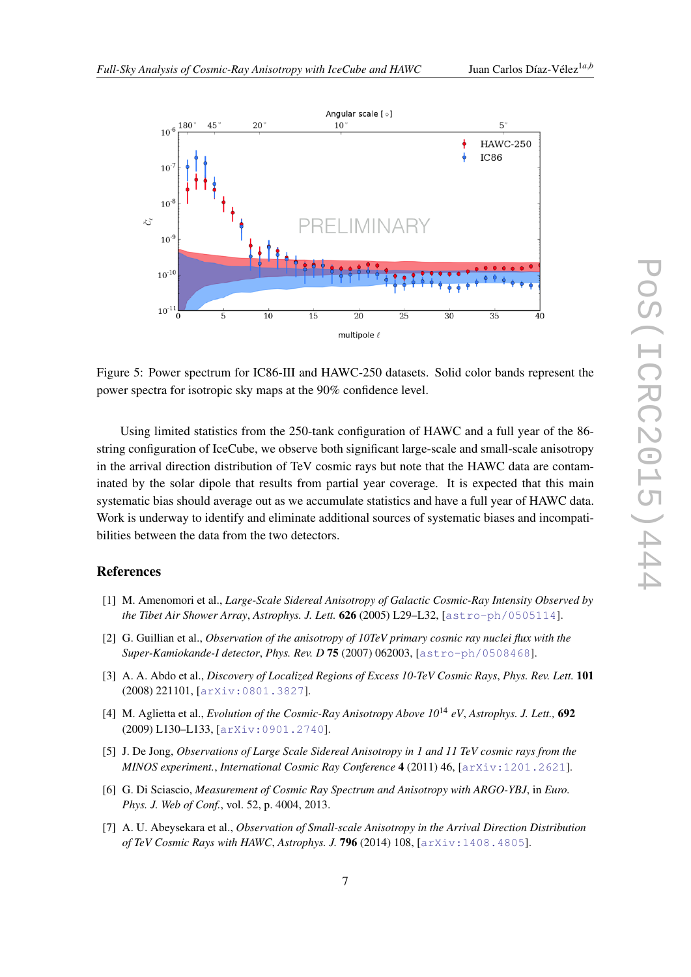<span id="page-6-0"></span>

Figure 5: Power spectrum for IC86-III and HAWC-250 datasets. Solid color bands represent the power spectra for isotropic sky maps at the 90% confidence level.

Using limited statistics from the 250-tank configuration of HAWC and a full year of the 86 string configuration of IceCube, we observe both significant large-scale and small-scale anisotropy in the arrival direction distribution of TeV cosmic rays but note that the HAWC data are contaminated by the solar dipole that results from partial year coverage. It is expected that this main systematic bias should average out as we accumulate statistics and have a full year of HAWC data. Work is underway to identify and eliminate additional sources of systematic biases and incompatibilities between the data from the two detectors.

### References

- [1] M. Amenomori et al., *Large-Scale Sidereal Anisotropy of Galactic Cosmic-Ray Intensity Observed by the Tibet Air Shower Array*, *Astrophys. J. Lett.* 626 (2005) L29–L32, [[astro-ph/0505114](http://arxiv.org/abs/astro-ph/0505114)].
- [2] G. Guillian et al., *Observation of the anisotropy of 10TeV primary cosmic ray nuclei flux with the Super-Kamiokande-I detector*, *Phys. Rev. D* 75 (2007) 062003, [[astro-ph/0508468](http://arxiv.org/abs/astro-ph/0508468)].
- [3] A. A. Abdo et al., *Discovery of Localized Regions of Excess 10-TeV Cosmic Rays*, *Phys. Rev. Lett.* 101 (2008) 221101, [[arXiv:0801.3827](http://arxiv.org/abs/0801.3827)].
- [4] M. Aglietta et al., *Evolution of the Cosmic-Ray Anisotropy Above 10*<sup>14</sup> *eV*, *Astrophys. J. Lett.,* 692 (2009) L130–L133, [[arXiv:0901.2740](http://arxiv.org/abs/0901.2740)].
- [5] J. De Jong, *Observations of Large Scale Sidereal Anisotropy in 1 and 11 TeV cosmic rays from the MINOS experiment.*, *International Cosmic Ray Conference* 4 (2011) 46, [[arXiv:1201.2621](http://arxiv.org/abs/1201.2621)].
- [6] G. Di Sciascio, *Measurement of Cosmic Ray Spectrum and Anisotropy with ARGO-YBJ*, in *Euro. Phys. J. Web of Conf.*, vol. 52, p. 4004, 2013.
- [7] A. U. Abeysekara et al., *Observation of Small-scale Anisotropy in the Arrival Direction Distribution of TeV Cosmic Rays with HAWC*, *Astrophys. J.* 796 (2014) 108, [[arXiv:1408.4805](http://arxiv.org/abs/1408.4805)].